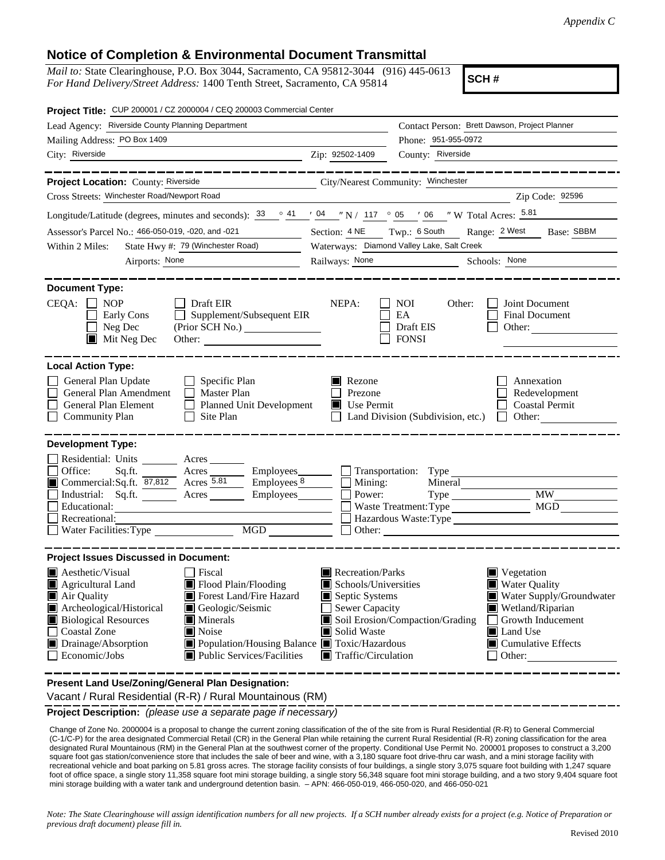## **Notice of Completion & Environmental Document Transmittal**

*Mail to:* State Clearinghouse, P.O. Box 3044, Sacramento, CA 95812-3044 (916) 445-0613 *For Hand Delivery/Street Address:* 1400 Tenth Street, Sacramento, CA 95814

**SCH #**

| Project Title: CUP 200001 / CZ 2000004 / CEQ 200003 Commercial Center                                                                                                                                                                                                                                                                                                          |                                                                                                                                                                                 |                                                                                                                                                                                                             |  |  |
|--------------------------------------------------------------------------------------------------------------------------------------------------------------------------------------------------------------------------------------------------------------------------------------------------------------------------------------------------------------------------------|---------------------------------------------------------------------------------------------------------------------------------------------------------------------------------|-------------------------------------------------------------------------------------------------------------------------------------------------------------------------------------------------------------|--|--|
| Lead Agency: Riverside County Planning Department                                                                                                                                                                                                                                                                                                                              |                                                                                                                                                                                 | Contact Person: Brett Dawson, Project Planner                                                                                                                                                               |  |  |
| Mailing Address: PO Box 1409                                                                                                                                                                                                                                                                                                                                                   |                                                                                                                                                                                 | Phone: 951-955-0972                                                                                                                                                                                         |  |  |
| City: Riverside<br><u> 1989 - Johann Barbara, martin a</u>                                                                                                                                                                                                                                                                                                                     | Zip: 92502-1409                                                                                                                                                                 | County: Riverside                                                                                                                                                                                           |  |  |
|                                                                                                                                                                                                                                                                                                                                                                                |                                                                                                                                                                                 |                                                                                                                                                                                                             |  |  |
| Project Location: County: Riverside                                                                                                                                                                                                                                                                                                                                            | City/Nearest Community: Winchester                                                                                                                                              |                                                                                                                                                                                                             |  |  |
| Cross Streets: Winchester Road/Newport Road                                                                                                                                                                                                                                                                                                                                    |                                                                                                                                                                                 | Zip Code: 92596                                                                                                                                                                                             |  |  |
| Longitude/Latitude (degrees, minutes and seconds): $\frac{33}{9}$ $\frac{41}{9}$ $\frac{104}{9}$ $\frac{104}{9}$ N / 117 $\degree$ 05 $\degree$ / 06 $\degree$ W Total Acres: $\frac{5.81}{9}$                                                                                                                                                                                 |                                                                                                                                                                                 |                                                                                                                                                                                                             |  |  |
| Assessor's Parcel No.: 466-050-019, -020, and -021                                                                                                                                                                                                                                                                                                                             | $\overline{\phantom{a}}$                                                                                                                                                        | Section: 4 NE Twp.: 6 South<br>Range: 2 West<br>Base: SBBM                                                                                                                                                  |  |  |
| State Hwy #: 79 (Winchester Road)<br>Within 2 Miles:                                                                                                                                                                                                                                                                                                                           |                                                                                                                                                                                 | Waterways: Diamond Valley Lake, Salt Creek                                                                                                                                                                  |  |  |
| Airports: None                                                                                                                                                                                                                                                                                                                                                                 | Railways: None                                                                                                                                                                  | Schools: None                                                                                                                                                                                               |  |  |
| <b>Document Type:</b><br>$CEQA: \Box NP$<br>$\Box$ Draft EIR<br>Supplement/Subsequent EIR<br>Early Cons<br>Neg Dec<br>$\blacksquare$ Mit Neg Dec                                                                                                                                                                                                                               | NEPA:                                                                                                                                                                           | Joint Document<br><b>NOI</b><br>Other:<br>EA<br><b>Final Document</b><br>Draft EIS<br>Other:<br><b>FONSI</b>                                                                                                |  |  |
| <b>Local Action Type:</b><br>General Plan Update<br>$\Box$ Specific Plan<br>General Plan Amendment<br>$\Box$ Master Plan<br>General Plan Element<br>Planned Unit Development<br><b>Community Plan</b><br>Site Plan                                                                                                                                                             | Rezone<br>Prezone<br>$\blacksquare$ Use Permit                                                                                                                                  | Annexation<br>Redevelopment<br><b>Coastal Permit</b><br>Land Division (Subdivision, etc.)<br>$\Box$ Other:                                                                                                  |  |  |
| <b>Development Type:</b>                                                                                                                                                                                                                                                                                                                                                       |                                                                                                                                                                                 |                                                                                                                                                                                                             |  |  |
| Residential: Units ________ Acres _______                                                                                                                                                                                                                                                                                                                                      |                                                                                                                                                                                 |                                                                                                                                                                                                             |  |  |
| Office:<br>Acres <u>Community Employees</u><br>Sq.ft.<br>Commercial:Sq.ft. 87,812 Acres 5.81                                                                                                                                                                                                                                                                                   | $\equiv$ Employees $\frac{8}{2}$                                                                                                                                                | Transportation: Type                                                                                                                                                                                        |  |  |
| Industrial: Sq.ft. Acres Employees                                                                                                                                                                                                                                                                                                                                             | $\Box$ Mining:<br>Power:                                                                                                                                                        | MW                                                                                                                                                                                                          |  |  |
| Educational:                                                                                                                                                                                                                                                                                                                                                                   |                                                                                                                                                                                 | MGD<br>Waste Treatment: Type                                                                                                                                                                                |  |  |
| Recreational:                                                                                                                                                                                                                                                                                                                                                                  |                                                                                                                                                                                 | Hazardous Waste:Type                                                                                                                                                                                        |  |  |
| Water Facilities: Type                                                                                                                                                                                                                                                                                                                                                         | MGD<br>$\mathsf{L}$                                                                                                                                                             |                                                                                                                                                                                                             |  |  |
| <b>Project Issues Discussed in Document:</b>                                                                                                                                                                                                                                                                                                                                   |                                                                                                                                                                                 |                                                                                                                                                                                                             |  |  |
| $\blacksquare$ Aesthetic/Visual<br>Fiscal<br>Flood Plain/Flooding<br>$\blacksquare$ Agricultural Land<br>Forest Land/Fire Hazard<br>Air Quality<br>Archeological/Historical<br>Geologic/Seismic<br><b>Biological Resources</b><br>Minerals<br><b>Coastal Zone</b><br>$\blacksquare$ Noise<br>Drainage/Absorption<br>Economic/Jobs<br>$\blacksquare$ Public Services/Facilities | Recreation/Parks<br>Schools/Universities<br>Septic Systems<br>Sewer Capacity<br>Solid Waste<br>Population/Housing Balance Toxic/Hazardous<br>$\blacksquare$ Traffic/Circulation | ■ Vegetation<br>■ Water Quality<br>Water Supply/Groundwater<br>Wetland/Riparian<br>Soil Erosion/Compaction/Grading<br>Growth Inducement<br><b>■</b> Land Use<br>$\blacksquare$ Cumulative Effects<br>Other: |  |  |
| Foular Conseal Dian Declarati                                                                                                                                                                                                                                                                                                                                                  |                                                                                                                                                                                 |                                                                                                                                                                                                             |  |  |

**Present Land Use/Zoning/General Plan Designation:**

**Project Description:** *(please use a separate page if necessary)* Vacant / Rural Residential (R-R) / Rural Mountainous (RM)

 Change of Zone No. 2000004 is a proposal to change the current zoning classification of the of the site from is Rural Residential (R-R) to General Commercial (C-1/C-P) for the area designated Commercial Retail (CR) in the General Plan while retaining the current Rural Residential (R-R) zoning classification for the area designated Rural Mountainous (RM) in the General Plan at the southwest corner of the property. Conditional Use Permit No. 200001 proposes to construct a 3,200 square foot gas station/convenience store that includes the sale of beer and wine, with a 3,180 square foot drive-thru car wash, and a mini storage facility with recreational vehicle and boat parking on 5.81 gross acres. The storage facility consists of four buildings, a single story 3,075 square foot building with 1,247 square foot of office space, a single story 11,358 square foot mini storage building, a single story 56,348 square foot mini storage building, and a two story 9,404 square foot mini storage building with a water tank and underground detention basin. – APN: 466-050-019, 466-050-020, and 466-050-021

*Note: The State Clearinghouse will assign identification numbers for all new projects. If a SCH number already exists for a project (e.g. Notice of Preparation or previous draft document) please fill in.*